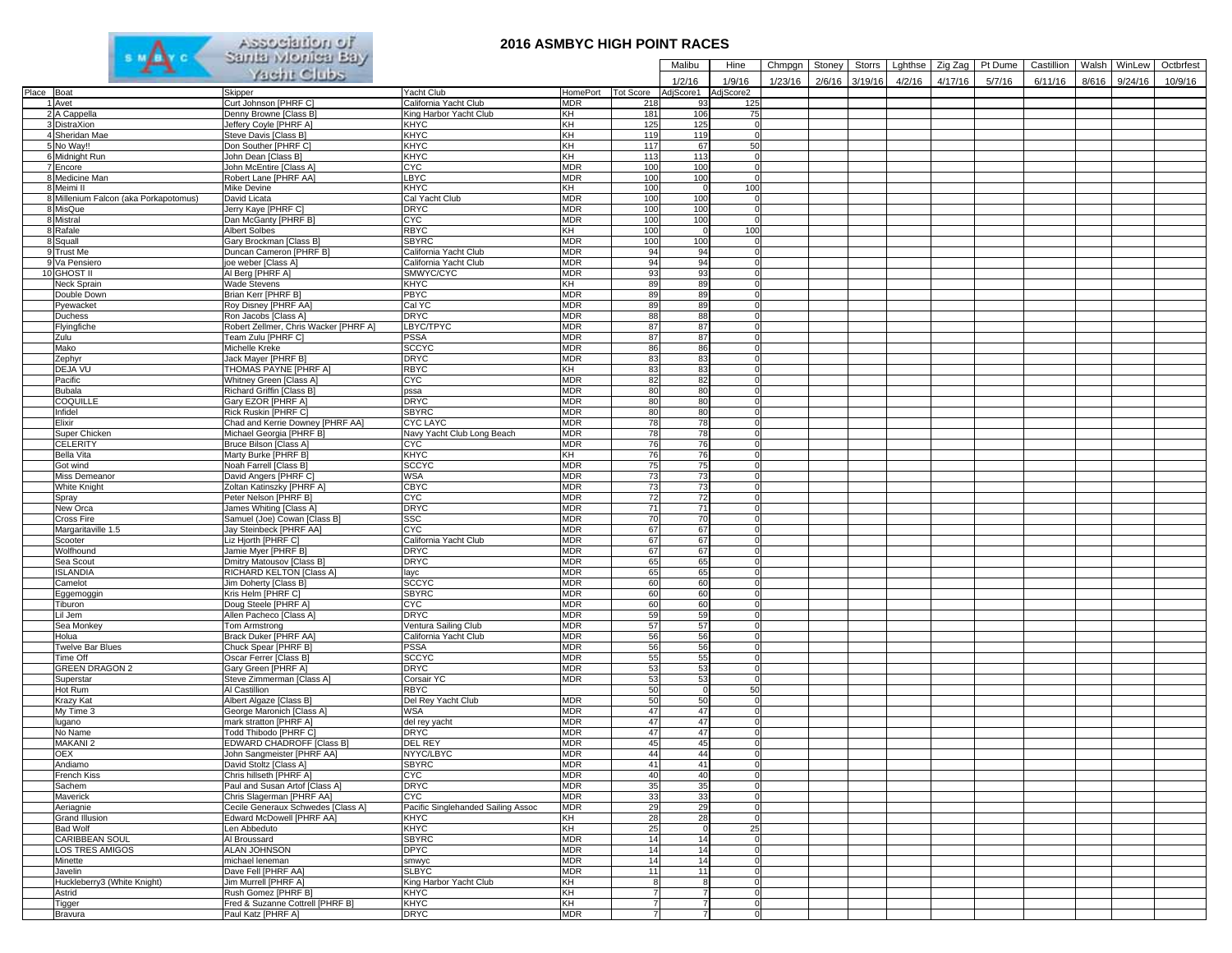

## **2016 ASMBYC HIGH POINT RACES**

|            |                                       | <b>Pattra Motifica pay</b>                                   |                                       |                          |                     | Malibu             | Hine                       | Chmpgn  | Stoney | <b>Storrs</b> | Lghthse | Zig Zag | Pt Dume | Castillion |       | Walsh WinLew | Octbrfest |
|------------|---------------------------------------|--------------------------------------------------------------|---------------------------------------|--------------------------|---------------------|--------------------|----------------------------|---------|--------|---------------|---------|---------|---------|------------|-------|--------------|-----------|
|            |                                       | Yacht Clubs                                                  |                                       |                          |                     | 1/2/16             | 1/9/16                     | 1/23/16 | 2/6/16 | 3/19/16       | 4/2/16  | 4/17/16 | 5/7/16  | 6/11/16    | 8/616 | 9/24/16      | 10/9/16   |
| Place Boat |                                       | Skipper                                                      | Yacht Club                            | HomePort                 | <b>Tot Score</b>    | AdjScore1          | AdjScore2                  |         |        |               |         |         |         |            |       |              |           |
|            | 1 Avet                                | Curt Johnson [PHRF C]                                        | California Yacht Club                 | <b>MDR</b>               | 218                 | 93                 | 125                        |         |        |               |         |         |         |            |       |              |           |
|            | 2 A Cappella                          | Denny Browne [Class B]                                       | King Harbor Yacht Club                | KH                       | 181                 | 106                | 75                         |         |        |               |         |         |         |            |       |              |           |
|            | 3 DistraXion                          | Jeffery Coyle [PHRF A]                                       | KHYC                                  | KH                       | 125                 | 125                | 0                          |         |        |               |         |         |         |            |       |              |           |
|            | 4 Sheridan Mae                        | Steve Davis [Class B]                                        | <b>KHYC</b>                           | KH                       | 119                 | 119                | $\Omega$                   |         |        |               |         |         |         |            |       |              |           |
|            | 5 No Way!!                            | Don Souther [PHRF C]                                         | <b>KHYC</b>                           | KH                       | 117                 | 67                 | 50                         |         |        |               |         |         |         |            |       |              |           |
|            | 6 Midnight Run                        | John Dean [Class B]                                          | <b>KHYC</b><br><b>CYC</b>             | KH<br><b>MDR</b>         | 113                 | 113                | $\circ$                    |         |        |               |         |         |         |            |       |              |           |
|            | 7 Encore<br>8 Medicine Man            | John McEntire [Class A]<br>Robert Lane [PHRF AA]             | <b>LBYC</b>                           | <b>MDR</b>               | 100<br>100          | 100<br>100         | $\overline{0}$<br>$\Omega$ |         |        |               |         |         |         |            |       |              |           |
|            | 8 Meimi II                            | Mike Devine                                                  | <b>KHYC</b>                           | KH                       | 100                 | $\mathbf 0$        | 100                        |         |        |               |         |         |         |            |       |              |           |
|            | 8 Millenium Falcon (aka Porkapotomus) | David Licata                                                 | Cal Yacht Club                        | <b>MDR</b>               | 100                 | 100                | $\mathbf 0$                |         |        |               |         |         |         |            |       |              |           |
|            | 8 MisQue                              | Jerry Kaye [PHRF C]                                          | <b>DRYC</b>                           | <b>MDR</b>               | 100                 | 100                | $\Omega$                   |         |        |               |         |         |         |            |       |              |           |
|            | 8 Mistral                             | Dan McGanty [PHRF B]                                         | CYC                                   | <b>MDR</b>               | 100                 | 100                | $\mathbf 0$                |         |        |               |         |         |         |            |       |              |           |
|            | 8 Rafale                              | Albert Solbes                                                | <b>RBYC</b>                           | KH                       | 100                 | $\mathbf 0$        | 100                        |         |        |               |         |         |         |            |       |              |           |
|            | 8 Squall                              | Gary Brockman [Class B]                                      | <b>SBYRC</b>                          | <b>MDR</b>               | 100                 | 100                | $\Omega$                   |         |        |               |         |         |         |            |       |              |           |
|            | 9 Trust Me                            | Duncan Cameron [PHRF B]                                      | California Yacht Club                 | <b>MDR</b>               | 94                  | 94                 | $\Omega$                   |         |        |               |         |         |         |            |       |              |           |
|            | 9 Va Pensiero                         | joe weber [Class A]                                          | California Yacht Club                 | <b>MDR</b>               | 94                  | 94                 | $\Omega$                   |         |        |               |         |         |         |            |       |              |           |
|            | 10 GHOST II                           | Al Berg [PHRF A]                                             | SMWYC/CYC                             | <b>MDR</b>               | 93                  | 93                 | 0<br>$\Omega$              |         |        |               |         |         |         |            |       |              |           |
|            | Neck Sprain<br>Double Down            | Wade Stevens<br>Brian Kerr [PHRF B]                          | <b>KHYC</b><br><b>PBYC</b>            | KH<br><b>MDR</b>         | 89<br>89            | 89<br>89           | $\Omega$                   |         |        |               |         |         |         |            |       |              |           |
|            | Pyewacket                             | Roy Disney [PHRF AA]                                         | Cal YC                                | <b>MDR</b>               | 89                  | 89                 | $\circ$                    |         |        |               |         |         |         |            |       |              |           |
|            | Duchess                               | Ron Jacobs [Class A]                                         | <b>DRYC</b>                           | <b>MDR</b>               | 88                  | 88                 | $\circ$                    |         |        |               |         |         |         |            |       |              |           |
|            | Flyingfiche                           | Robert Zellmer, Chris Wacker [PHRF A]                        | LBYC/TPYC                             | <b>MDR</b>               | 87                  | 87                 | $\Omega$                   |         |        |               |         |         |         |            |       |              |           |
|            | Zulu                                  | Team Zulu [PHRF C]                                           | <b>PSSA</b>                           | <b>MDR</b>               | 87                  | 87                 | $\Omega$                   |         |        |               |         |         |         |            |       |              |           |
|            | Mako                                  | Michelle Kreke                                               | <b>SCCYC</b>                          | <b>MDR</b>               | 86                  | 86                 | 0                          |         |        |               |         |         |         |            |       |              |           |
|            | Zephyr                                | Jack Mayer [PHRF B]                                          | <b>DRYC</b>                           | <b>MDR</b>               | 83                  | 83                 | $\Omega$                   |         |        |               |         |         |         |            |       |              |           |
|            | DEJA VU                               | THOMAS PAYNE [PHRF A]                                        | <b>RBYC</b>                           | KH                       | 83                  | 83                 | $\mathbf 0$                |         |        |               |         |         |         |            |       |              |           |
|            | Pacific                               | Whitney Green [Class A]                                      | <b>CYC</b>                            | <b>MDR</b>               | 82                  | 82                 | $\circ$                    |         |        |               |         |         |         |            |       |              |           |
|            | <b>Bubala</b>                         | Richard Griffin [Class B]                                    | pssa                                  | <b>MDR</b>               | 80                  | 80                 | $\circ$                    |         |        |               |         |         |         |            |       |              |           |
|            | COQUILLE                              | Gary EZOR [PHRF A]                                           | <b>DRYC</b>                           | <b>MDR</b>               | 80                  | 80                 | $\Omega$                   |         |        |               |         |         |         |            |       |              |           |
|            | Infidel                               | Rick Ruskin [PHRF C]                                         | <b>SBYRC</b><br><b>CYC LAYC</b>       | <b>MDR</b><br><b>MDR</b> | 80<br>78            | 80<br>78           | $\Omega$<br>$\Omega$       |         |        |               |         |         |         |            |       |              |           |
|            | Elixir<br>Super Chicken               | Chad and Kerrie Downey [PHRF AA]<br>Michael Georgia [PHRF B] | Navy Yacht Club Long Beach            | <b>MDR</b>               | 78                  | 78                 | $\Omega$                   |         |        |               |         |         |         |            |       |              |           |
|            | <b>CELERITY</b>                       | Bruce Bilson [Class A]                                       | <b>CYC</b>                            | <b>MDR</b>               | 76                  | 76                 | $\Omega$                   |         |        |               |         |         |         |            |       |              |           |
|            | <b>Bella Vita</b>                     | Marty Burke [PHRF B]                                         | <b>KHYC</b>                           | KH                       | 76                  | 76                 | 0                          |         |        |               |         |         |         |            |       |              |           |
|            | Got wind                              | Noah Farrell [Class B]                                       | <b>SCCYC</b>                          | <b>MDR</b>               | 75                  | 75                 | $\Omega$                   |         |        |               |         |         |         |            |       |              |           |
|            | Miss Demeanor                         | David Angers [PHRF C]                                        | WSA                                   | <b>MDR</b>               | 73                  | 73                 | $\Omega$                   |         |        |               |         |         |         |            |       |              |           |
|            | White Knight                          | Zoltan Katinszky [PHRF A]                                    | <b>CBYC</b>                           | <b>MDR</b>               | 73                  | 73                 | $\Omega$                   |         |        |               |         |         |         |            |       |              |           |
|            | Spray                                 | Peter Nelson IPHRF BI                                        | <b>CYC</b>                            | <b>MDR</b>               | 72                  | 72                 | $\overline{0}$             |         |        |               |         |         |         |            |       |              |           |
|            | New Orca                              | James Whiting [Class A]                                      | <b>DRYC</b>                           | <b>MDR</b>               | 71                  | 71                 | $\Omega$                   |         |        |               |         |         |         |            |       |              |           |
|            | <b>Cross Fire</b>                     | Samuel (Joe) Cowan [Class B]                                 | SSC                                   | <b>MDR</b>               | 70                  | 70                 | $\Omega$                   |         |        |               |         |         |         |            |       |              |           |
|            | Margaritaville 1.5                    | Jay Steinbeck [PHRF AA]                                      | CYC                                   | <b>MDR</b>               | 67                  | 67                 | $\Omega$                   |         |        |               |         |         |         |            |       |              |           |
|            | Scooter<br>Wolfhound                  | Liz Hjorth [PHRF C]<br>Jamie Myer [PHRF B]                   | California Yacht Club<br><b>DRYC</b>  | <b>MDR</b><br><b>MDR</b> | 67<br>67            | 67<br>67           | $\circ$<br>$\Omega$        |         |        |               |         |         |         |            |       |              |           |
|            | Sea Scout                             | Dmitry Matousov [Class B]                                    | <b>DRYC</b>                           | <b>MDR</b>               | 65                  | 65                 | $\Omega$                   |         |        |               |         |         |         |            |       |              |           |
|            | <b>ISLANDIA</b>                       | RICHARD KELTON [Class A]                                     | layc                                  | <b>MDR</b>               | 65                  | 65                 | $\Omega$                   |         |        |               |         |         |         |            |       |              |           |
|            | Camelot                               | Jim Doherty [Class B]                                        | <b>SCCYC</b>                          | <b>MDR</b>               | 60                  | 60                 | $\Omega$                   |         |        |               |         |         |         |            |       |              |           |
|            | Eggemoggin                            | Kris Helm [PHRF C]                                           | <b>SBYRC</b>                          | <b>MDR</b>               | 60                  | 60                 | $\Omega$                   |         |        |               |         |         |         |            |       |              |           |
|            | Tiburon                               | Doug Steele [PHRF A]                                         | <b>CYC</b>                            | <b>MDR</b>               | 60                  | 60                 | $\overline{0}$             |         |        |               |         |         |         |            |       |              |           |
|            | Lil Jem                               | Allen Pacheco [Class A]                                      | <b>DRYC</b>                           | <b>MDR</b>               | 59                  | 59                 | $\Omega$                   |         |        |               |         |         |         |            |       |              |           |
|            | Sea Monkey                            | Tom Armstrong                                                | Ventura Sailing Club                  | <b>MDR</b>               | 57                  | 57                 | $\Omega$                   |         |        |               |         |         |         |            |       |              |           |
|            | Holua                                 | Brack Duker [PHRF AA]                                        | California Yacht Club                 | <b>MDR</b>               | 56                  | 56                 | $\Omega$                   |         |        |               |         |         |         |            |       |              |           |
|            | Twelve Bar Blues<br>Time Off          | Chuck Spear [PHRF B]                                         | <b>PSSA</b><br>SCCYC                  | <b>MDR</b><br><b>MDR</b> | 56<br>55            | 56<br>55           | $\overline{0}$<br>$\Omega$ |         |        |               |         |         |         |            |       |              |           |
|            | <b>GREEN DRAGON 2</b>                 | Oscar Ferrer [Class B]<br>Gary Green [PHRF A]                | <b>DRYC</b>                           | <b>MDR</b>               | 53                  | 53                 | $\mathbf 0$                |         |        |               |         |         |         |            |       |              |           |
|            | Superstar                             | Steve Zimmerman [Class A]                                    | Corsair YC                            | <b>MDR</b>               | 53                  | 53                 | $\overline{0}$             |         |        |               |         |         |         |            |       |              |           |
|            | Hot Rum                               | Al Castillion                                                | <b>RBYC</b>                           |                          | 50                  | $\Omega$           | 50                         |         |        |               |         |         |         |            |       |              |           |
|            | <b>Krazy Kat</b>                      | Albert Algaze [Class B]                                      | Del Rey Yacht Club                    | <b>MDR</b>               | 50                  | 50                 | $\Omega$                   |         |        |               |         |         |         |            |       |              |           |
|            | My Time 3                             | George Maronich [Class A]                                    | WSA                                   | <b>MDR</b>               | 47                  | 47                 | $\Omega$                   |         |        |               |         |         |         |            |       |              |           |
|            | lugano                                | mark stratton [PHRF A]                                       | del rey yacht                         | <b>MDR</b>               | 47                  | 47                 | $\circ$                    |         |        |               |         |         |         |            |       |              |           |
|            | No Name                               | Todd Thibodo [PHRF C]                                        | <b>DRYC</b>                           | <b>MDR</b>               | 47                  | 47                 | $\Omega$                   |         |        |               |         |         |         |            |       |              |           |
|            | MAKANI 2                              | EDWARD CHADROFF [Class B]                                    | <b>DEL REY</b>                        | <b>MDR</b>               | 45                  | 45                 |                            |         |        |               |         |         |         |            |       |              |           |
|            | <b>OEX</b>                            | John Sangmeister [PHRF AA]                                   | NYYC/LBYC                             | <b>MDR</b>               | 44                  | 44                 | $\Omega$                   |         |        |               |         |         |         |            |       |              |           |
|            | Andiamo<br>French Kiss                | David Stoltz [Class A]<br>Chris hillseth [PHRF A]            | <b>SBYRC</b><br>CYC                   | <b>MDR</b><br><b>MDR</b> | 41<br>40            | 41<br>40           | $\Omega$                   |         |        |               |         |         |         |            |       |              |           |
|            | Sachem                                | Paul and Susan Artof [Class A]                               | <b>DRYC</b>                           | <b>MDR</b>               | 35                  | 35                 | $\Omega$                   |         |        |               |         |         |         |            |       |              |           |
|            | Maverick                              | Chris Slagerman [PHRF AA]                                    | <b>CYC</b>                            | <b>MDR</b>               | 33                  | 33                 | $\overline{0}$             |         |        |               |         |         |         |            |       |              |           |
|            | Aeriagnie                             | Cecile Generaux Schwedes [Class A]                           | Pacific Singlehanded Sailing Assoc    | <b>MDR</b>               | 29                  | 29                 | $\Omega$                   |         |        |               |         |         |         |            |       |              |           |
|            | Grand Illusion                        | Edward McDowell [PHRF AA]                                    | <b>KHYC</b>                           | KH                       | 28                  | 28                 | $\Omega$                   |         |        |               |         |         |         |            |       |              |           |
|            | <b>Bad Wolf</b>                       | Len Abbeduto                                                 | <b>KHYC</b>                           | KH                       | 25                  | $\mathbf 0$        | 25                         |         |        |               |         |         |         |            |       |              |           |
|            | CARIBBEAN SOUL                        | Al Broussard                                                 | <b>SBYRC</b>                          | <b>MDR</b>               | 14                  | 14                 | $\circ$                    |         |        |               |         |         |         |            |       |              |           |
|            | <b>LOS TRES AMIGOS</b>                | <b>ALAN JOHNSON</b>                                          | <b>DPYC</b>                           | <b>MDR</b>               | 14                  | 14                 | $\Omega$                   |         |        |               |         |         |         |            |       |              |           |
|            | Minette                               | michael leneman                                              | smwyc                                 | <b>MDR</b>               | 14                  | 14                 | $\overline{0}$             |         |        |               |         |         |         |            |       |              |           |
|            | Javelin                               | Dave Fell [PHRF AA]                                          | <b>SLBYC</b>                          | <b>MDR</b>               | 11                  | 11<br>$\mathbf{R}$ | $\circ$<br>$\Omega$        |         |        |               |         |         |         |            |       |              |           |
|            | Huckleberry3 (White Knight)<br>Astrid | Jim Murrell [PHRF A]<br>Rush Gomez [PHRF B]                  | King Harbor Yacht Club<br><b>KHYC</b> | KH<br>KH                 | 8<br>$\overline{7}$ |                    | $\mathbf 0$                |         |        |               |         |         |         |            |       |              |           |
|            | Tigger                                | Fred & Suzanne Cottrell [PHRF B]                             | KHYC                                  | KH                       |                     |                    | 0                          |         |        |               |         |         |         |            |       |              |           |
|            | Bravura                               | Paul Katz [PHRF A]                                           | <b>DRYC</b>                           | <b>MDR</b>               |                     |                    |                            |         |        |               |         |         |         |            |       |              |           |